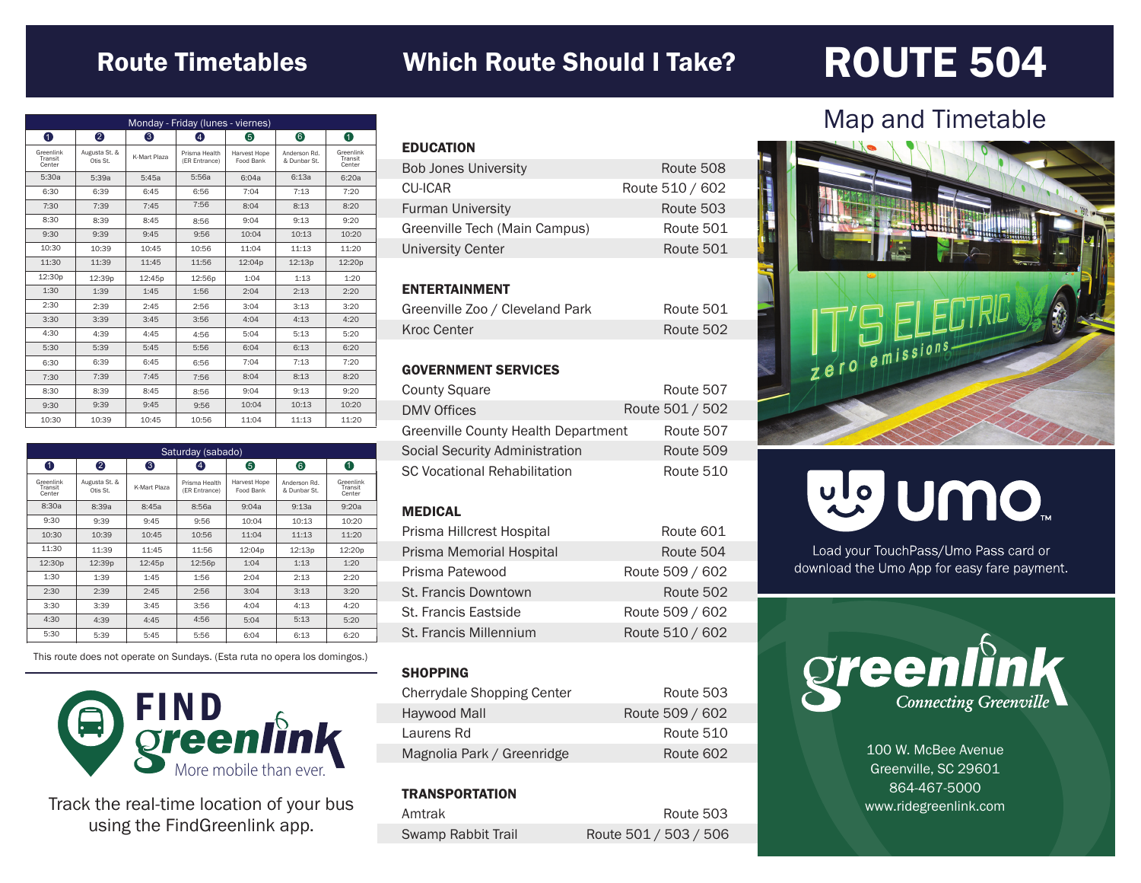# Route Timetables

## Which Route Should I Take?

# ROUTE 504

| Monday - Friday (lunes - viernes) |                           |              |                                |                           |                              |                                |
|-----------------------------------|---------------------------|--------------|--------------------------------|---------------------------|------------------------------|--------------------------------|
| $\bullet$                         | 2                         | 6            | 4                              | 6                         | 6                            | 0                              |
| Greenlink<br>Transit<br>Center    | Augusta St. &<br>Otis St. | K-Mart Plaza | Prisma Health<br>(ER Entrance) | Harvest Hope<br>Food Bank | Anderson Rd.<br>& Dunbar St. | Greenlink<br>Transit<br>Center |
| 5:30a                             | 5:39a                     | 5:45a        | 5:56a                          | 6:04a                     | 6:13a                        | 6:20a                          |
| 6:30                              | 6:39                      | 6:45         | 6:56                           | 7:04                      | 7:13                         | 7:20                           |
| 7:30                              | 7:39                      | 7:45         | 7:56                           | 8:04                      | 8:13                         | 8:20                           |
| 8:30                              | 8:39                      | 8:45         | 8:56                           | 9:04                      | 9:13                         | 9:20                           |
| 9:30                              | 9:39                      | 9:45         | 9:56                           | 10:04                     | 10:13                        | 10:20                          |
| 10:30                             | 10:39                     | 10:45        | 10:56                          | 11:04                     | 11:13                        | 11:20                          |
| 11:30                             | 11:39                     | 11:45        | 11:56                          | 12:04p                    | 12:13p                       | 12:20p                         |
| 12:30p                            | 12:39p                    | 12:45p       | 12:56p                         | 1:04                      | 1:13                         | 1:20                           |
| 1:30                              | 1:39                      | 1:45         | 1:56                           | 2:04                      | 2:13                         | 2:20                           |
| 2:30                              | 2:39                      | 2:45         | 2:56                           | 3:04                      | 3:13                         | 3:20                           |
| 3:30                              | 3:39                      | 3:45         | 3:56                           | 4:04                      | 4:13                         | 4:20                           |
| 4:30                              | 4:39                      | 4:45         | 4:56                           | 5:04                      | 5:13                         | 5:20                           |
| 5:30                              | 5:39                      | 5:45         | 5:56                           | 6:04                      | 6:13                         | 6:20                           |
| 6:30                              | 6:39                      | 6:45         | 6:56                           | 7:04                      | 7:13                         | 7:20                           |
| 7:30                              | 7:39                      | 7:45         | 7:56                           | 8:04                      | 8:13                         | 8:20                           |
| 8:30                              | 8:39                      | 8:45         | 8:56                           | 9:04                      | 9:13                         | 9:20                           |
| 9:30                              | 9:39                      | 9:45         | 9:56                           | 10:04                     | 10:13                        | 10:20                          |
| 10:30                             | 10:39                     | 10:45        | 10:56                          | 11:04                     | 11:13                        | 11:20                          |

| Saturday (sabado)              |                           |                    |                                |                           |                              |                                |
|--------------------------------|---------------------------|--------------------|--------------------------------|---------------------------|------------------------------|--------------------------------|
| 0                              | 2                         | 3                  | $\left( 4\right)$              | 6                         | 6                            | 0                              |
| Greenlink<br>Transit<br>Center | Augusta St. &<br>Otis St. | K-Mart Plaza       | Prisma Health<br>(ER Entrance) | Harvest Hope<br>Food Bank | Anderson Rd.<br>& Dunbar St. | Greenlink<br>Transit<br>Center |
| 8:30a                          | 8:39a                     | 8:45a              | 8:56a                          | 9:04a                     | 9:13a                        | 9:20a                          |
| 9:30                           | 9:39                      | 9:45               | 9:56                           | 10:04                     | 10:13                        | 10:20                          |
| 10:30                          | 10:39                     | 10:45              | 10:56                          | 11:04                     | 11:13                        | 11:20                          |
| 11:30                          | 11:39                     | 11:45              | 11:56                          | 12:04p                    | 12:13p                       | 12:20p                         |
| 12:30 <sub>p</sub>             | 12:39p                    | 12:45 <sub>p</sub> | 12:56p                         | 1:04                      | 1:13                         | 1:20                           |
| 1:30                           | 1:39                      | 1:45               | 1:56                           | 2:04                      | 2:13                         | 2:20                           |
| 2:30                           | 2:39                      | 2:45               | 2:56                           | 3:04                      | 3:13                         | 3:20                           |
| 3:30                           | 3:39                      | 3:45               | 3:56                           | 4:04                      | 4:13                         | 4:20                           |
| 4:30                           | 4:39                      | 4:45               | 4:56                           | 5:04                      | 5:13                         | 5:20                           |
| 5:30                           | 5:39                      | 5:45               | 5:56                           | 6:04                      | 6:13                         | 6:20                           |

This route does not operate on Sundays. (Esta ruta no opera los domingos.)



Track the real-time location of your bus using the FindGreenlink app.

| <b>EDUCATION</b>              |                 |
|-------------------------------|-----------------|
| <b>Bob Jones University</b>   | Route 508       |
| <b>CU-ICAR</b>                | Route 510 / 602 |
| <b>Furman University</b>      | Route 503       |
| Greenville Tech (Main Campus) | Route 501       |
| <b>University Center</b>      | Route 501       |
|                               |                 |

#### ENTERTAINMENT

| Greenville Zoo / Cleveland Park | Route 501 |
|---------------------------------|-----------|
| Kroc Center                     | Route 502 |

#### GOVERNMENT SERVICES

| <b>County Square</b>                | Route 507       |
|-------------------------------------|-----------------|
| <b>DMV Offices</b>                  | Route 501 / 502 |
| Greenville County Health Department | Route 507       |
| Social Security Administration      | Route 509       |
| <b>SC Vocational Rehabilitation</b> | Route 510       |

#### MEDICAL

| Prisma Hillcrest Hospital | Route 601       |
|---------------------------|-----------------|
| Prisma Memorial Hospital  | Route 504       |
| Prisma Patewood           | Route 509 / 602 |
| St. Francis Downtown      | Route 502       |
| St. Francis Eastside      | Route 509 / 602 |
| St. Francis Millennium    | Route 510 / 602 |

#### **SHOPPING**

| Cherrydale Shopping Center | Route 503       |
|----------------------------|-----------------|
| Haywood Mall               | Route 509 / 602 |
| Laurens Rd                 | Route 510       |
| Magnolia Park / Greenridge | Route 602       |

#### **TRANSPORTATION**

| Amtrak                    | Route 503             |
|---------------------------|-----------------------|
| <b>Swamp Rabbit Trail</b> | Route 501 / 503 / 506 |

## Map and Timetable



# mo nulle

Load your TouchPass/Umo Pass card or download the Umo App for easy fare payment.



100 W. McBee Avenue Greenville, SC 29601 864-467-5000 www.ridegreenlink.com